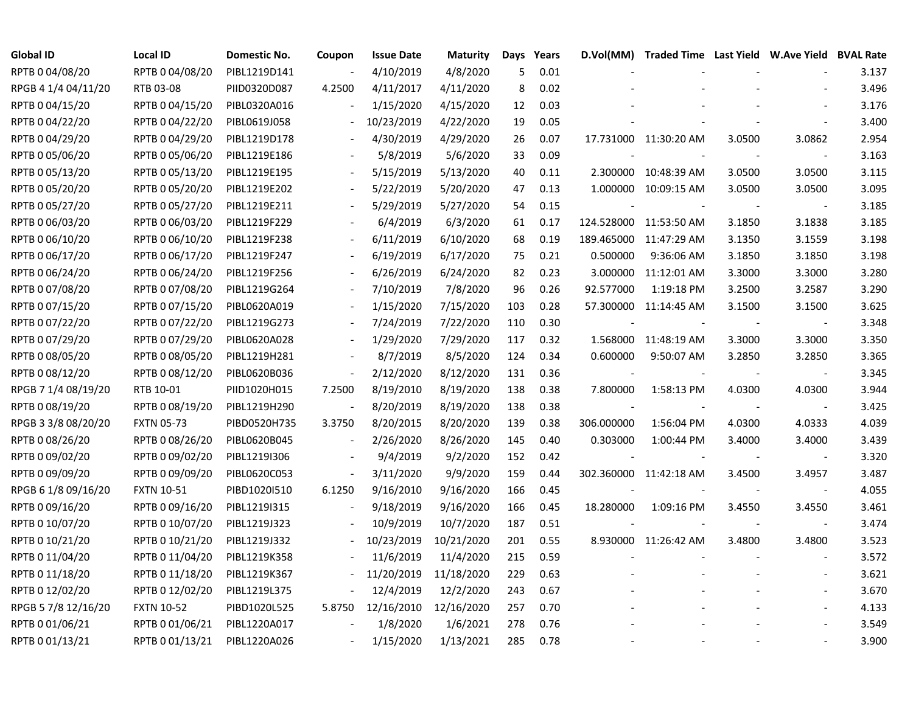| <b>Global ID</b>    | <b>Local ID</b>   | Domestic No. | Coupon                   | <b>Issue Date</b> | <b>Maturity</b> | Days | Years |                          | D.Vol(MM) Traded Time Last Yield W.Ave Yield BVAL Rate |        |                          |       |
|---------------------|-------------------|--------------|--------------------------|-------------------|-----------------|------|-------|--------------------------|--------------------------------------------------------|--------|--------------------------|-------|
| RPTB 0 04/08/20     | RPTB 0 04/08/20   | PIBL1219D141 |                          | 4/10/2019         | 4/8/2020        | 5    | 0.01  |                          |                                                        |        |                          | 3.137 |
| RPGB 4 1/4 04/11/20 | RTB 03-08         | PIID0320D087 | 4.2500                   | 4/11/2017         | 4/11/2020       | 8    | 0.02  |                          |                                                        |        |                          | 3.496 |
| RPTB 0 04/15/20     | RPTB 0 04/15/20   | PIBL0320A016 |                          | 1/15/2020         | 4/15/2020       | 12   | 0.03  |                          |                                                        |        |                          | 3.176 |
| RPTB 0 04/22/20     | RPTB 0 04/22/20   | PIBL0619J058 |                          | 10/23/2019        | 4/22/2020       | 19   | 0.05  |                          |                                                        |        |                          | 3.400 |
| RPTB 0 04/29/20     | RPTB 0 04/29/20   | PIBL1219D178 | $\overline{\phantom{a}}$ | 4/30/2019         | 4/29/2020       | 26   | 0.07  |                          | 17.731000 11:30:20 AM                                  | 3.0500 | 3.0862                   | 2.954 |
| RPTB 0 05/06/20     | RPTB 0 05/06/20   | PIBL1219E186 |                          | 5/8/2019          | 5/6/2020        | 33   | 0.09  |                          |                                                        |        | $\overline{\phantom{a}}$ | 3.163 |
| RPTB 0 05/13/20     | RPTB 0 05/13/20   | PIBL1219E195 | $\overline{\phantom{a}}$ | 5/15/2019         | 5/13/2020       | 40   | 0.11  |                          | 2.300000 10:48:39 AM                                   | 3.0500 | 3.0500                   | 3.115 |
| RPTB 0 05/20/20     | RPTB 0 05/20/20   | PIBL1219E202 |                          | 5/22/2019         | 5/20/2020       | 47   | 0.13  |                          | 1.000000 10:09:15 AM                                   | 3.0500 | 3.0500                   | 3.095 |
| RPTB 0 05/27/20     | RPTB 0 05/27/20   | PIBL1219E211 |                          | 5/29/2019         | 5/27/2020       | 54   | 0.15  |                          |                                                        |        | $\sim$                   | 3.185 |
| RPTB 0 06/03/20     | RPTB 0 06/03/20   | PIBL1219F229 |                          | 6/4/2019          | 6/3/2020        | 61   | 0.17  |                          | 124.528000 11:53:50 AM                                 | 3.1850 | 3.1838                   | 3.185 |
| RPTB 0 06/10/20     | RPTB 0 06/10/20   | PIBL1219F238 |                          | 6/11/2019         | 6/10/2020       | 68   | 0.19  |                          | 189.465000 11:47:29 AM                                 | 3.1350 | 3.1559                   | 3.198 |
| RPTB 0 06/17/20     | RPTB 0 06/17/20   | PIBL1219F247 |                          | 6/19/2019         | 6/17/2020       | 75   | 0.21  | 0.500000                 | 9:36:06 AM                                             | 3.1850 | 3.1850                   | 3.198 |
| RPTB 0 06/24/20     | RPTB 0 06/24/20   | PIBL1219F256 |                          | 6/26/2019         | 6/24/2020       | 82   | 0.23  | 3.000000                 | 11:12:01 AM                                            | 3.3000 | 3.3000                   | 3.280 |
| RPTB 0 07/08/20     | RPTB 0 07/08/20   | PIBL1219G264 |                          | 7/10/2019         | 7/8/2020        | 96   | 0.26  | 92.577000                | 1:19:18 PM                                             | 3.2500 | 3.2587                   | 3.290 |
| RPTB 0 07/15/20     | RPTB 0 07/15/20   | PIBL0620A019 |                          | 1/15/2020         | 7/15/2020       | 103  | 0.28  |                          | 57.300000 11:14:45 AM                                  | 3.1500 | 3.1500                   | 3.625 |
| RPTB 0 07/22/20     | RPTB 0 07/22/20   | PIBL1219G273 |                          | 7/24/2019         | 7/22/2020       | 110  | 0.30  |                          |                                                        |        |                          | 3.348 |
| RPTB 0 07/29/20     | RPTB 0 07/29/20   | PIBL0620A028 | $\overline{\phantom{a}}$ | 1/29/2020         | 7/29/2020       | 117  | 0.32  |                          | 1.568000 11:48:19 AM                                   | 3.3000 | 3.3000                   | 3.350 |
| RPTB 0 08/05/20     | RPTB 0 08/05/20   | PIBL1219H281 | $\overline{\phantom{a}}$ | 8/7/2019          | 8/5/2020        | 124  | 0.34  | 0.600000                 | 9:50:07 AM                                             | 3.2850 | 3.2850                   | 3.365 |
| RPTB 0 08/12/20     | RPTB 0 08/12/20   | PIBL0620B036 | $\overline{\phantom{a}}$ | 2/12/2020         | 8/12/2020       | 131  | 0.36  |                          |                                                        |        |                          | 3.345 |
| RPGB 7 1/4 08/19/20 | RTB 10-01         | PIID1020H015 | 7.2500                   | 8/19/2010         | 8/19/2020       | 138  | 0.38  | 7.800000                 | 1:58:13 PM                                             | 4.0300 | 4.0300                   | 3.944 |
| RPTB 0 08/19/20     | RPTB 0 08/19/20   | PIBL1219H290 | $\sim$                   | 8/20/2019         | 8/19/2020       | 138  | 0.38  |                          |                                                        |        | $\sim$                   | 3.425 |
| RPGB 3 3/8 08/20/20 | <b>FXTN 05-73</b> | PIBD0520H735 | 3.3750                   | 8/20/2015         | 8/20/2020       | 139  | 0.38  | 306.000000               | 1:56:04 PM                                             | 4.0300 | 4.0333                   | 4.039 |
| RPTB 0 08/26/20     | RPTB 0 08/26/20   | PIBL0620B045 | $\overline{\phantom{a}}$ | 2/26/2020         | 8/26/2020       | 145  | 0.40  | 0.303000                 | 1:00:44 PM                                             | 3.4000 | 3.4000                   | 3.439 |
| RPTB 0 09/02/20     | RPTB 0 09/02/20   | PIBL1219I306 |                          | 9/4/2019          | 9/2/2020        | 152  | 0.42  | $\overline{\phantom{a}}$ |                                                        |        | $\sim$                   | 3.320 |
| RPTB 0 09/09/20     | RPTB 0 09/09/20   | PIBL0620C053 | $\blacksquare$           | 3/11/2020         | 9/9/2020        | 159  | 0.44  |                          | 302.360000 11:42:18 AM                                 | 3.4500 | 3.4957                   | 3.487 |
| RPGB 6 1/8 09/16/20 | <b>FXTN 10-51</b> | PIBD1020I510 | 6.1250                   | 9/16/2010         | 9/16/2020       | 166  | 0.45  |                          |                                                        |        | $\overline{\phantom{a}}$ | 4.055 |
| RPTB 0 09/16/20     | RPTB 0 09/16/20   | PIBL1219I315 | $\overline{\phantom{a}}$ | 9/18/2019         | 9/16/2020       | 166  | 0.45  | 18.280000                | 1:09:16 PM                                             | 3.4550 | 3.4550                   | 3.461 |
| RPTB 0 10/07/20     | RPTB 0 10/07/20   | PIBL1219J323 |                          | 10/9/2019         | 10/7/2020       | 187  | 0.51  |                          |                                                        |        |                          | 3.474 |
| RPTB 0 10/21/20     | RPTB 0 10/21/20   | PIBL1219J332 |                          | 10/23/2019        | 10/21/2020      | 201  | 0.55  |                          | 8.930000 11:26:42 AM                                   | 3.4800 | 3.4800                   | 3.523 |
| RPTB 0 11/04/20     | RPTB 0 11/04/20   | PIBL1219K358 |                          | 11/6/2019         | 11/4/2020       | 215  | 0.59  |                          |                                                        |        | $\overline{\phantom{a}}$ | 3.572 |
| RPTB 0 11/18/20     | RPTB 0 11/18/20   | PIBL1219K367 |                          | 11/20/2019        | 11/18/2020      | 229  | 0.63  |                          |                                                        |        |                          | 3.621 |
| RPTB 0 12/02/20     | RPTB 0 12/02/20   | PIBL1219L375 | $\overline{\phantom{a}}$ | 12/4/2019         | 12/2/2020       | 243  | 0.67  |                          |                                                        |        | $\blacksquare$           | 3.670 |
| RPGB 5 7/8 12/16/20 | <b>FXTN 10-52</b> | PIBD1020L525 | 5.8750                   | 12/16/2010        | 12/16/2020      | 257  | 0.70  |                          |                                                        |        |                          | 4.133 |
| RPTB 0 01/06/21     | RPTB 0 01/06/21   | PIBL1220A017 |                          | 1/8/2020          | 1/6/2021        | 278  | 0.76  |                          |                                                        |        |                          | 3.549 |
| RPTB 0 01/13/21     | RPTB 0 01/13/21   | PIBL1220A026 |                          | 1/15/2020         | 1/13/2021       | 285  | 0.78  |                          |                                                        |        |                          | 3.900 |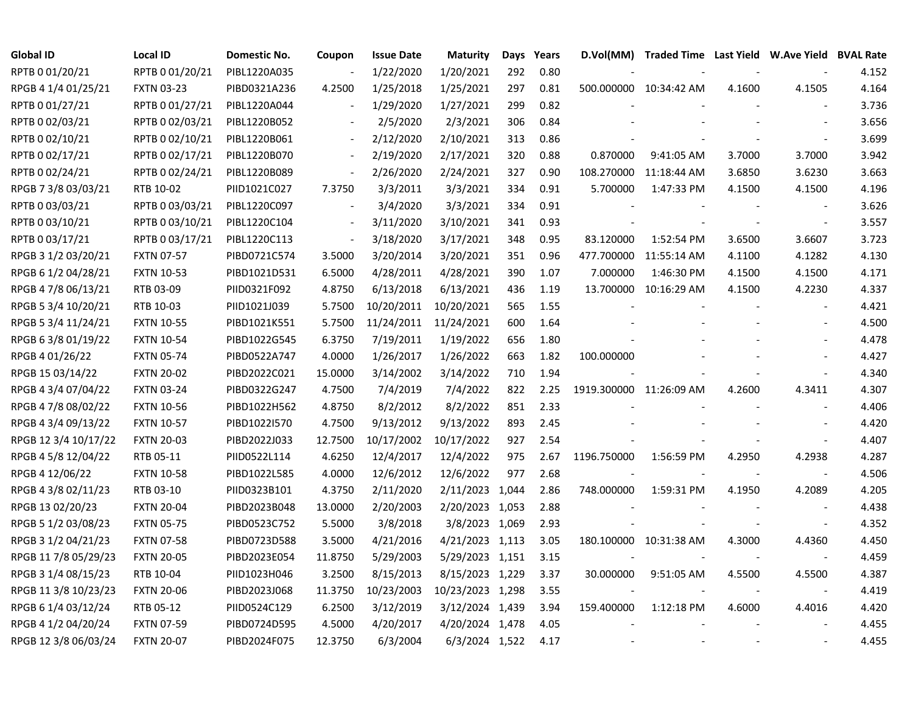| <b>Global ID</b>     | <b>Local ID</b>   | Domestic No. | Coupon                   | <b>Issue Date</b> | <b>Maturity</b>  | Days | Years | D.Vol(MM)   | Traded Time Last Yield W.Ave Yield BVAL Rate |        |                          |       |
|----------------------|-------------------|--------------|--------------------------|-------------------|------------------|------|-------|-------------|----------------------------------------------|--------|--------------------------|-------|
| RPTB 0 01/20/21      | RPTB 0 01/20/21   | PIBL1220A035 |                          | 1/22/2020         | 1/20/2021        | 292  | 0.80  |             |                                              |        |                          | 4.152 |
| RPGB 4 1/4 01/25/21  | <b>FXTN 03-23</b> | PIBD0321A236 | 4.2500                   | 1/25/2018         | 1/25/2021        | 297  | 0.81  |             | 500.000000 10:34:42 AM                       | 4.1600 | 4.1505                   | 4.164 |
| RPTB 0 01/27/21      | RPTB 0 01/27/21   | PIBL1220A044 |                          | 1/29/2020         | 1/27/2021        | 299  | 0.82  |             |                                              |        |                          | 3.736 |
| RPTB 0 02/03/21      | RPTB 0 02/03/21   | PIBL1220B052 |                          | 2/5/2020          | 2/3/2021         | 306  | 0.84  |             |                                              |        |                          | 3.656 |
| RPTB 0 02/10/21      | RPTB 0 02/10/21   | PIBL1220B061 | $\blacksquare$           | 2/12/2020         | 2/10/2021        | 313  | 0.86  |             |                                              |        |                          | 3.699 |
| RPTB 0 02/17/21      | RPTB 0 02/17/21   | PIBL1220B070 | $\overline{\phantom{a}}$ | 2/19/2020         | 2/17/2021        | 320  | 0.88  | 0.870000    | 9:41:05 AM                                   | 3.7000 | 3.7000                   | 3.942 |
| RPTB 0 02/24/21      | RPTB 002/24/21    | PIBL1220B089 | $\overline{\phantom{a}}$ | 2/26/2020         | 2/24/2021        | 327  | 0.90  | 108.270000  | 11:18:44 AM                                  | 3.6850 | 3.6230                   | 3.663 |
| RPGB 7 3/8 03/03/21  | RTB 10-02         | PIID1021C027 | 7.3750                   | 3/3/2011          | 3/3/2021         | 334  | 0.91  | 5.700000    | 1:47:33 PM                                   | 4.1500 | 4.1500                   | 4.196 |
| RPTB 0 03/03/21      | RPTB 0 03/03/21   | PIBL1220C097 |                          | 3/4/2020          | 3/3/2021         | 334  | 0.91  |             |                                              |        | $\sim$                   | 3.626 |
| RPTB 0 03/10/21      | RPTB 0 03/10/21   | PIBL1220C104 | $\overline{\phantom{a}}$ | 3/11/2020         | 3/10/2021        | 341  | 0.93  |             |                                              |        | $\overline{\phantom{a}}$ | 3.557 |
| RPTB 0 03/17/21      | RPTB 0 03/17/21   | PIBL1220C113 | $\overline{\phantom{a}}$ | 3/18/2020         | 3/17/2021        | 348  | 0.95  | 83.120000   | 1:52:54 PM                                   | 3.6500 | 3.6607                   | 3.723 |
| RPGB 3 1/2 03/20/21  | <b>FXTN 07-57</b> | PIBD0721C574 | 3.5000                   | 3/20/2014         | 3/20/2021        | 351  | 0.96  | 477.700000  | 11:55:14 AM                                  | 4.1100 | 4.1282                   | 4.130 |
| RPGB 6 1/2 04/28/21  | <b>FXTN 10-53</b> | PIBD1021D531 | 6.5000                   | 4/28/2011         | 4/28/2021        | 390  | 1.07  | 7.000000    | 1:46:30 PM                                   | 4.1500 | 4.1500                   | 4.171 |
| RPGB 4 7/8 06/13/21  | RTB 03-09         | PIID0321F092 | 4.8750                   | 6/13/2018         | 6/13/2021        | 436  | 1.19  | 13.700000   | 10:16:29 AM                                  | 4.1500 | 4.2230                   | 4.337 |
| RPGB 5 3/4 10/20/21  | RTB 10-03         | PIID1021J039 | 5.7500                   | 10/20/2011        | 10/20/2021       | 565  | 1.55  |             |                                              |        |                          | 4.421 |
| RPGB 5 3/4 11/24/21  | <b>FXTN 10-55</b> | PIBD1021K551 | 5.7500                   | 11/24/2011        | 11/24/2021       | 600  | 1.64  |             |                                              |        |                          | 4.500 |
| RPGB 6 3/8 01/19/22  | <b>FXTN 10-54</b> | PIBD1022G545 | 6.3750                   | 7/19/2011         | 1/19/2022        | 656  | 1.80  |             |                                              |        |                          | 4.478 |
| RPGB 4 01/26/22      | <b>FXTN 05-74</b> | PIBD0522A747 | 4.0000                   | 1/26/2017         | 1/26/2022        | 663  | 1.82  | 100.000000  |                                              |        |                          | 4.427 |
| RPGB 15 03/14/22     | <b>FXTN 20-02</b> | PIBD2022C021 | 15.0000                  | 3/14/2002         | 3/14/2022        | 710  | 1.94  |             |                                              |        |                          | 4.340 |
| RPGB 4 3/4 07/04/22  | <b>FXTN 03-24</b> | PIBD0322G247 | 4.7500                   | 7/4/2019          | 7/4/2022         | 822  | 2.25  |             | 1919.300000 11:26:09 AM                      | 4.2600 | 4.3411                   | 4.307 |
| RPGB 4 7/8 08/02/22  | <b>FXTN 10-56</b> | PIBD1022H562 | 4.8750                   | 8/2/2012          | 8/2/2022         | 851  | 2.33  |             |                                              |        |                          | 4.406 |
| RPGB 4 3/4 09/13/22  | <b>FXTN 10-57</b> | PIBD1022I570 | 4.7500                   | 9/13/2012         | 9/13/2022        | 893  | 2.45  |             |                                              |        |                          | 4.420 |
| RPGB 12 3/4 10/17/22 | <b>FXTN 20-03</b> | PIBD2022J033 | 12.7500                  | 10/17/2002        | 10/17/2022       | 927  | 2.54  |             |                                              |        | $\blacksquare$           | 4.407 |
| RPGB 4 5/8 12/04/22  | RTB 05-11         | PIID0522L114 | 4.6250                   | 12/4/2017         | 12/4/2022        | 975  | 2.67  | 1196.750000 | 1:56:59 PM                                   | 4.2950 | 4.2938                   | 4.287 |
| RPGB 4 12/06/22      | <b>FXTN 10-58</b> | PIBD1022L585 | 4.0000                   | 12/6/2012         | 12/6/2022        | 977  | 2.68  |             |                                              |        | $\blacksquare$           | 4.506 |
| RPGB 4 3/8 02/11/23  | RTB 03-10         | PIID0323B101 | 4.3750                   | 2/11/2020         | 2/11/2023 1,044  |      | 2.86  | 748.000000  | 1:59:31 PM                                   | 4.1950 | 4.2089                   | 4.205 |
| RPGB 13 02/20/23     | <b>FXTN 20-04</b> | PIBD2023B048 | 13.0000                  | 2/20/2003         | 2/20/2023 1,053  |      | 2.88  |             |                                              |        |                          | 4.438 |
| RPGB 5 1/2 03/08/23  | <b>FXTN 05-75</b> | PIBD0523C752 | 5.5000                   | 3/8/2018          | 3/8/2023 1,069   |      | 2.93  |             |                                              |        |                          | 4.352 |
| RPGB 3 1/2 04/21/23  | <b>FXTN 07-58</b> | PIBD0723D588 | 3.5000                   | 4/21/2016         | 4/21/2023 1,113  |      | 3.05  |             | 180.100000 10:31:38 AM                       | 4.3000 | 4.4360                   | 4.450 |
| RPGB 11 7/8 05/29/23 | <b>FXTN 20-05</b> | PIBD2023E054 | 11.8750                  | 5/29/2003         | 5/29/2023 1,151  |      | 3.15  |             |                                              |        | $\overline{\phantom{a}}$ | 4.459 |
| RPGB 3 1/4 08/15/23  | RTB 10-04         | PIID1023H046 | 3.2500                   | 8/15/2013         | 8/15/2023 1,229  |      | 3.37  | 30.000000   | 9:51:05 AM                                   | 4.5500 | 4.5500                   | 4.387 |
| RPGB 11 3/8 10/23/23 | <b>FXTN 20-06</b> | PIBD2023J068 | 11.3750                  | 10/23/2003        | 10/23/2023 1,298 |      | 3.55  |             |                                              |        | $\blacksquare$           | 4.419 |
| RPGB 6 1/4 03/12/24  | RTB 05-12         | PIID0524C129 | 6.2500                   | 3/12/2019         | 3/12/2024 1,439  |      | 3.94  | 159.400000  | 1:12:18 PM                                   | 4.6000 | 4.4016                   | 4.420 |
| RPGB 4 1/2 04/20/24  | <b>FXTN 07-59</b> | PIBD0724D595 | 4.5000                   | 4/20/2017         | 4/20/2024 1,478  |      | 4.05  |             |                                              |        |                          | 4.455 |
| RPGB 12 3/8 06/03/24 | <b>FXTN 20-07</b> | PIBD2024F075 | 12.3750                  | 6/3/2004          | 6/3/2024 1,522   |      | 4.17  |             |                                              |        |                          | 4.455 |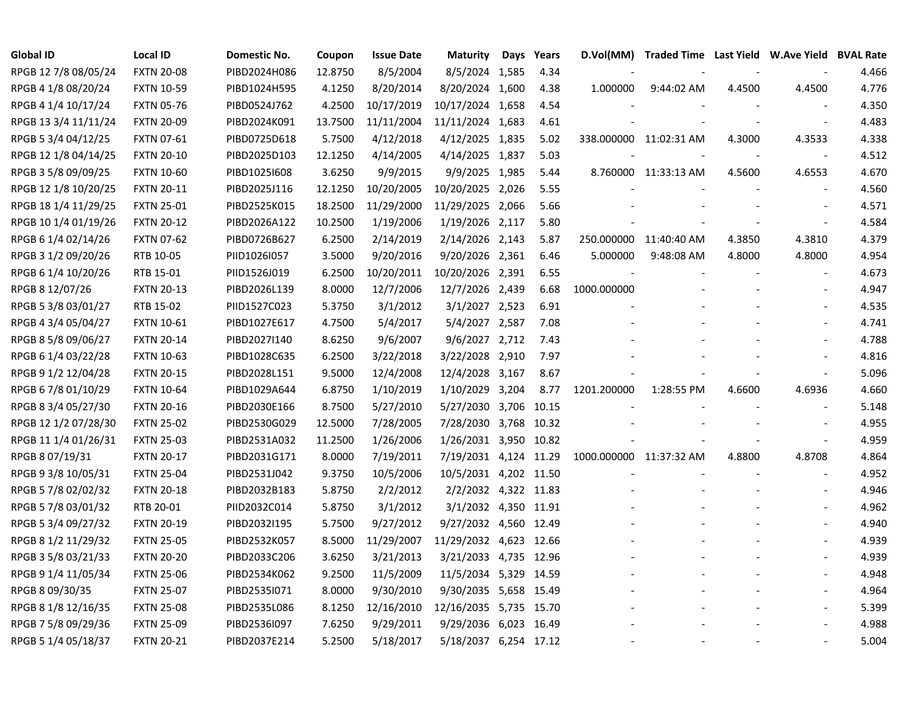| <b>Global ID</b>     | <b>Local ID</b>   | Domestic No. | Coupon  | <b>Issue Date</b> | <b>Maturity</b>        | Days | Years | D.Vol(MM)               | Traded Time Last Yield W.Ave Yield BVAL Rate |        |                          |       |
|----------------------|-------------------|--------------|---------|-------------------|------------------------|------|-------|-------------------------|----------------------------------------------|--------|--------------------------|-------|
| RPGB 12 7/8 08/05/24 | <b>FXTN 20-08</b> | PIBD2024H086 | 12.8750 | 8/5/2004          | 8/5/2024 1,585         |      | 4.34  |                         |                                              |        |                          | 4.466 |
| RPGB 4 1/8 08/20/24  | <b>FXTN 10-59</b> | PIBD1024H595 | 4.1250  | 8/20/2014         | 8/20/2024 1,600        |      | 4.38  | 1.000000                | 9:44:02 AM                                   | 4.4500 | 4.4500                   | 4.776 |
| RPGB 4 1/4 10/17/24  | <b>FXTN 05-76</b> | PIBD0524J762 | 4.2500  | 10/17/2019        | 10/17/2024 1,658       |      | 4.54  |                         |                                              |        |                          | 4.350 |
| RPGB 13 3/4 11/11/24 | <b>FXTN 20-09</b> | PIBD2024K091 | 13.7500 | 11/11/2004        | 11/11/2024 1,683       |      | 4.61  |                         |                                              |        | $\overline{\phantom{a}}$ | 4.483 |
| RPGB 5 3/4 04/12/25  | <b>FXTN 07-61</b> | PIBD0725D618 | 5.7500  | 4/12/2018         | 4/12/2025 1,835        |      | 5.02  |                         | 338.000000 11:02:31 AM                       | 4.3000 | 4.3533                   | 4.338 |
| RPGB 12 1/8 04/14/25 | <b>FXTN 20-10</b> | PIBD2025D103 | 12.1250 | 4/14/2005         | 4/14/2025 1,837        |      | 5.03  |                         |                                              |        |                          | 4.512 |
| RPGB 3 5/8 09/09/25  | <b>FXTN 10-60</b> | PIBD1025I608 | 3.6250  | 9/9/2015          | 9/9/2025 1,985         |      | 5.44  |                         | 8.760000 11:33:13 AM                         | 4.5600 | 4.6553                   | 4.670 |
| RPGB 12 1/8 10/20/25 | <b>FXTN 20-11</b> | PIBD2025J116 | 12.1250 | 10/20/2005        | 10/20/2025 2,026       |      | 5.55  |                         |                                              |        |                          | 4.560 |
| RPGB 18 1/4 11/29/25 | <b>FXTN 25-01</b> | PIBD2525K015 | 18.2500 | 11/29/2000        | 11/29/2025 2,066       |      | 5.66  |                         |                                              |        |                          | 4.571 |
| RPGB 10 1/4 01/19/26 | <b>FXTN 20-12</b> | PIBD2026A122 | 10.2500 | 1/19/2006         | 1/19/2026 2,117        |      | 5.80  |                         |                                              |        |                          | 4.584 |
| RPGB 6 1/4 02/14/26  | <b>FXTN 07-62</b> | PIBD0726B627 | 6.2500  | 2/14/2019         | 2/14/2026 2,143        |      | 5.87  | 250.000000              | 11:40:40 AM                                  | 4.3850 | 4.3810                   | 4.379 |
| RPGB 3 1/2 09/20/26  | RTB 10-05         | PIID1026I057 | 3.5000  | 9/20/2016         | 9/20/2026 2,361        |      | 6.46  | 5.000000                | 9:48:08 AM                                   | 4.8000 | 4.8000                   | 4.954 |
| RPGB 6 1/4 10/20/26  | RTB 15-01         | PIID1526J019 | 6.2500  | 10/20/2011        | 10/20/2026 2,391       |      | 6.55  |                         |                                              |        |                          | 4.673 |
| RPGB 8 12/07/26      | <b>FXTN 20-13</b> | PIBD2026L139 | 8.0000  | 12/7/2006         | 12/7/2026 2,439        |      | 6.68  | 1000.000000             |                                              |        |                          | 4.947 |
| RPGB 5 3/8 03/01/27  | RTB 15-02         | PIID1527C023 | 5.3750  | 3/1/2012          | 3/1/2027 2,523         |      | 6.91  |                         |                                              |        |                          | 4.535 |
| RPGB 4 3/4 05/04/27  | <b>FXTN 10-61</b> | PIBD1027E617 | 4.7500  | 5/4/2017          | 5/4/2027 2,587         |      | 7.08  |                         |                                              |        |                          | 4.741 |
| RPGB 8 5/8 09/06/27  | <b>FXTN 20-14</b> | PIBD2027I140 | 8.6250  | 9/6/2007          | 9/6/2027 2,712         |      | 7.43  |                         |                                              |        |                          | 4.788 |
| RPGB 6 1/4 03/22/28  | <b>FXTN 10-63</b> | PIBD1028C635 | 6.2500  | 3/22/2018         | 3/22/2028 2,910        |      | 7.97  |                         |                                              |        |                          | 4.816 |
| RPGB 9 1/2 12/04/28  | <b>FXTN 20-15</b> | PIBD2028L151 | 9.5000  | 12/4/2008         | 12/4/2028 3,167        |      | 8.67  |                         |                                              |        |                          | 5.096 |
| RPGB 6 7/8 01/10/29  | <b>FXTN 10-64</b> | PIBD1029A644 | 6.8750  | 1/10/2019         | 1/10/2029 3,204        |      | 8.77  | 1201.200000             | 1:28:55 PM                                   | 4.6600 | 4.6936                   | 4.660 |
| RPGB 8 3/4 05/27/30  | <b>FXTN 20-16</b> | PIBD2030E166 | 8.7500  | 5/27/2010         | 5/27/2030 3,706        |      | 10.15 |                         |                                              |        |                          | 5.148 |
| RPGB 12 1/2 07/28/30 | <b>FXTN 25-02</b> | PIBD2530G029 | 12.5000 | 7/28/2005         | 7/28/2030 3,768        |      | 10.32 |                         |                                              |        |                          | 4.955 |
| RPGB 11 1/4 01/26/31 | <b>FXTN 25-03</b> | PIBD2531A032 | 11.2500 | 1/26/2006         | 1/26/2031 3,950 10.82  |      |       |                         |                                              |        | $\blacksquare$           | 4.959 |
| RPGB 8 07/19/31      | <b>FXTN 20-17</b> | PIBD2031G171 | 8.0000  | 7/19/2011         | 7/19/2031 4,124 11.29  |      |       | 1000.000000 11:37:32 AM |                                              | 4.8800 | 4.8708                   | 4.864 |
| RPGB 9 3/8 10/05/31  | <b>FXTN 25-04</b> | PIBD2531J042 | 9.3750  | 10/5/2006         | 10/5/2031 4,202 11.50  |      |       |                         |                                              |        | $\sim$                   | 4.952 |
| RPGB 5 7/8 02/02/32  | <b>FXTN 20-18</b> | PIBD2032B183 | 5.8750  | 2/2/2012          | 2/2/2032 4,322 11.83   |      |       |                         |                                              |        |                          | 4.946 |
| RPGB 5 7/8 03/01/32  | RTB 20-01         | PIID2032C014 | 5.8750  | 3/1/2012          | 3/1/2032 4,350 11.91   |      |       |                         |                                              |        |                          | 4.962 |
| RPGB 5 3/4 09/27/32  | <b>FXTN 20-19</b> | PIBD2032I195 | 5.7500  | 9/27/2012         | 9/27/2032 4,560 12.49  |      |       |                         |                                              |        |                          | 4.940 |
| RPGB 8 1/2 11/29/32  | <b>FXTN 25-05</b> | PIBD2532K057 | 8.5000  | 11/29/2007        | 11/29/2032 4,623 12.66 |      |       |                         |                                              |        |                          | 4.939 |
| RPGB 3 5/8 03/21/33  | <b>FXTN 20-20</b> | PIBD2033C206 | 3.6250  | 3/21/2013         | 3/21/2033 4,735 12.96  |      |       |                         |                                              |        |                          | 4.939 |
| RPGB 9 1/4 11/05/34  | <b>FXTN 25-06</b> | PIBD2534K062 | 9.2500  | 11/5/2009         | 11/5/2034 5,329 14.59  |      |       |                         |                                              |        |                          | 4.948 |
| RPGB 8 09/30/35      | <b>FXTN 25-07</b> | PIBD2535I071 | 8.0000  | 9/30/2010         | 9/30/2035 5,658 15.49  |      |       |                         |                                              |        | $\blacksquare$           | 4.964 |
| RPGB 8 1/8 12/16/35  | <b>FXTN 25-08</b> | PIBD2535L086 | 8.1250  | 12/16/2010        | 12/16/2035 5,735 15.70 |      |       |                         |                                              |        |                          | 5.399 |
| RPGB 7 5/8 09/29/36  | <b>FXTN 25-09</b> | PIBD2536I097 | 7.6250  | 9/29/2011         | 9/29/2036 6,023 16.49  |      |       |                         |                                              |        |                          | 4.988 |
| RPGB 5 1/4 05/18/37  | <b>FXTN 20-21</b> | PIBD2037E214 | 5.2500  | 5/18/2017         | 5/18/2037 6,254 17.12  |      |       |                         |                                              |        |                          | 5.004 |